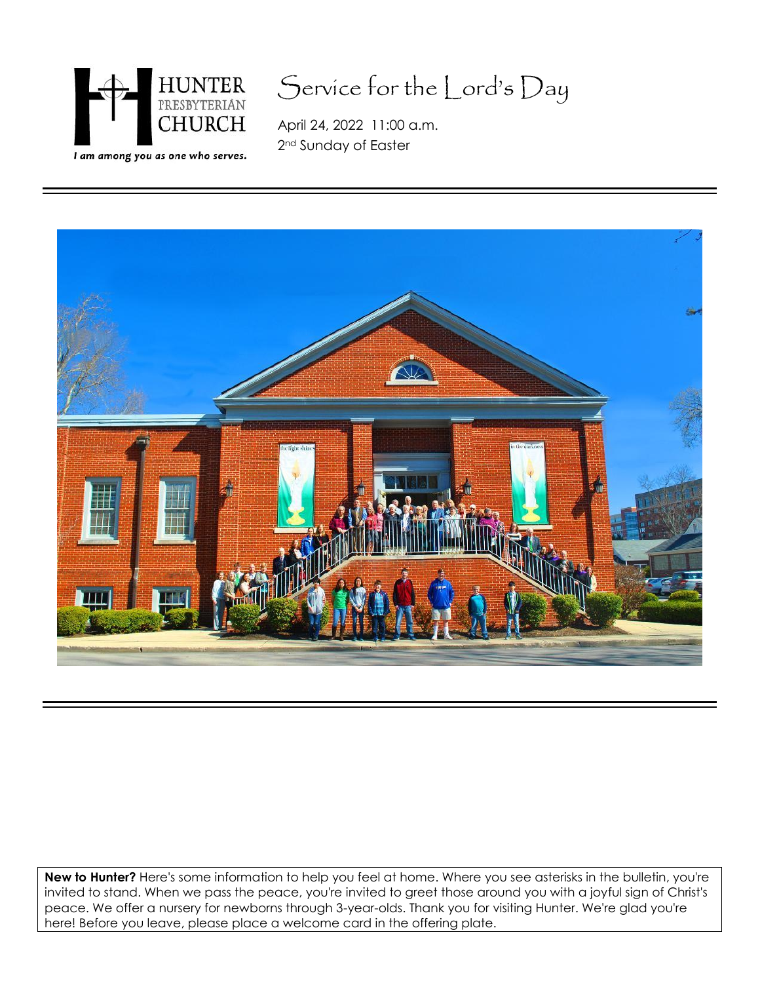

# Service for the Lord's Day

April 24, 2022 11:00 a.m. 2<sup>nd</sup> Sunday of Easter



**New to Hunter?** Here's some information to help you feel at home. Where you see asterisks in the bulletin, you're invited to stand. When we pass the peace, you're invited to greet those around you with a joyful sign of Christ's peace. We offer a nursery for newborns through 3-year-olds. Thank you for visiting Hunter. We're glad you're here! Before you leave, please place a welcome card in the offering plate.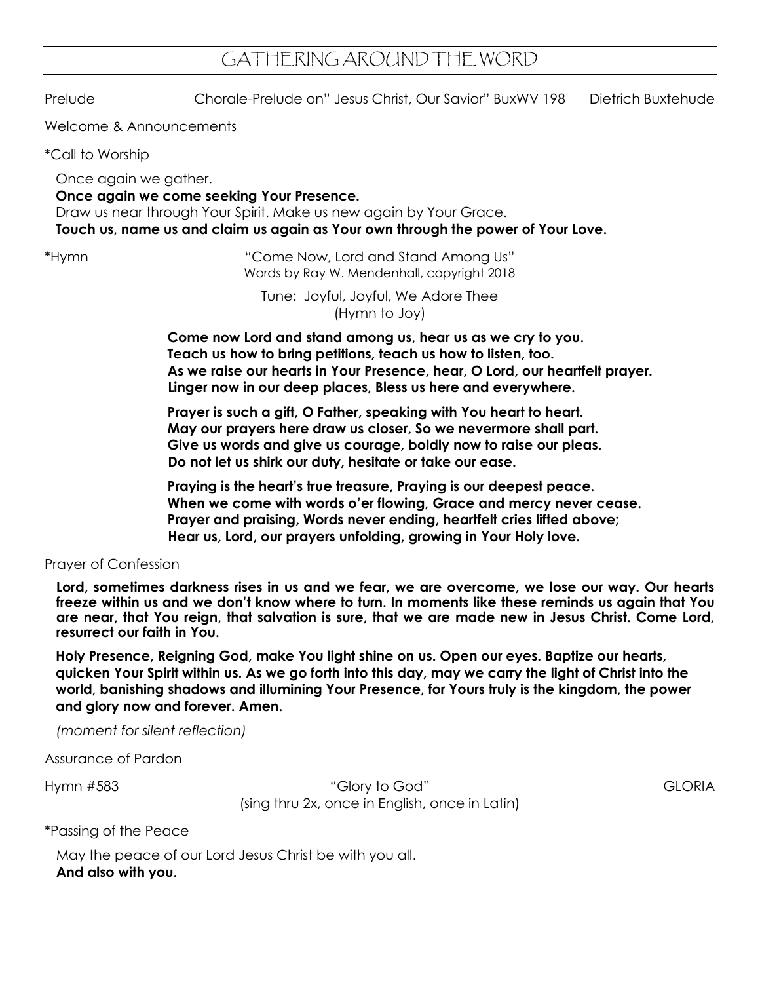## GATHERING AROUND THE WORD

Prelude Chorale-Prelude on" Jesus Christ, Our Savior" BuxWV 198 Dietrich Buxtehude

Welcome & Announcements

\*Call to Worship

Once again we gather.

## **Once again we come seeking Your Presence.**

Draw us near through Your Spirit. Make us new again by Your Grace. **Touch us, name us and claim us again as Your own through the power of Your Love.**

\*Hymn "Come Now, Lord and Stand Among Us" Words by Ray W. Mendenhall, copyright 2018

> Tune: Joyful, Joyful, We Adore Thee (Hymn to Joy)

**Come now Lord and stand among us, hear us as we cry to you. Teach us how to bring petitions, teach us how to listen, too. As we raise our hearts in Your Presence, hear, O Lord, our heartfelt prayer. Linger now in our deep places, Bless us here and everywhere.**

Prayer is such a gift, O Father, speaking with You heart to heart. **May our prayers here draw us closer, So we nevermore shall part. Give us words and give us courage, boldly now to raise our pleas. Do not let us shirk our duty, hesitate or take our ease.**

**Praying is the heart's true treasure, Praying is our deepest peace. When we come with words o'er flowing, Grace and mercy never cease. Prayer and praising, Words never ending, heartfelt cries lifted above; Hear us, Lord, our prayers unfolding, growing in Your Holy love.**

Prayer of Confession

**Lord, sometimes darkness rises in us and we fear, we are overcome, we lose our way. Our hearts freeze within us and we don't know where to turn. In moments like these reminds us again that You are near, that You reign, that salvation is sure, that we are made new in Jesus Christ. Come Lord, resurrect our faith in You.**

**Holy Presence, Reigning God, make You light shine on us. Open our eyes. Baptize our hearts, quicken Your Spirit within us. As we go forth into this day, may we carry the light of Christ into the world, banishing shadows and illumining Your Presence, for Yours truly is the kingdom, the power and glory now and forever. Amen.**

*(moment for silent reflection)*

Assurance of Pardon

Hymn #583 "Glory to God" GLORIA (sing thru 2x, once in English, once in Latin)

\*Passing of the Peace

May the peace of our Lord Jesus Christ be with you all. **And also with you.**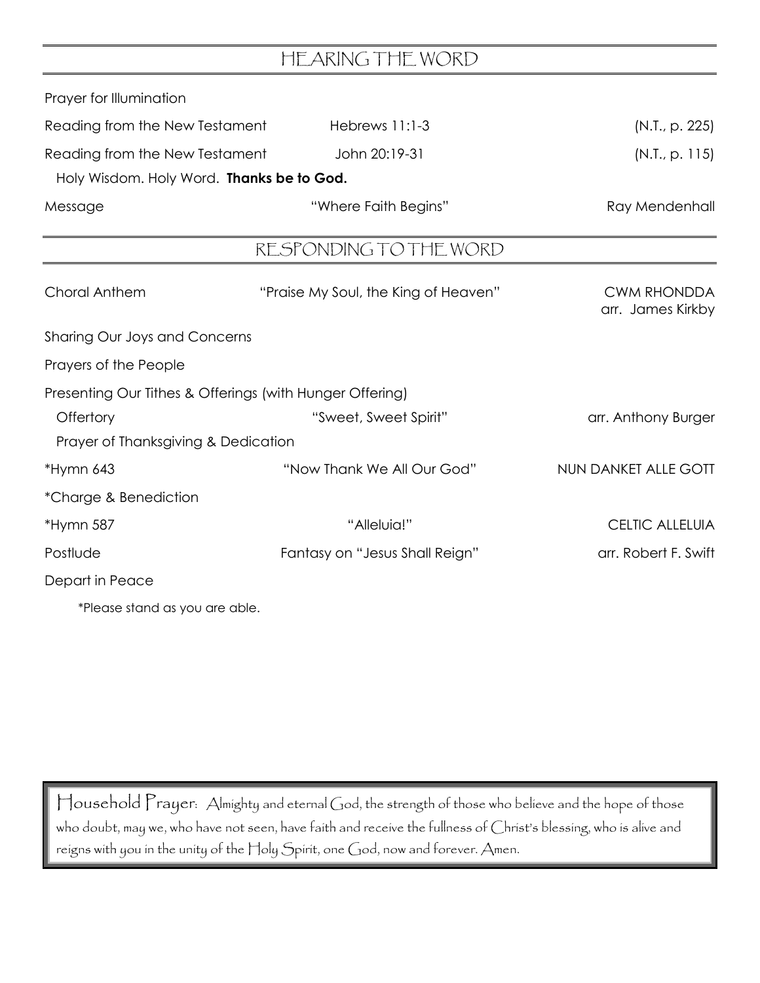|                                                  | HEARING THE WORD                                         |                                         |
|--------------------------------------------------|----------------------------------------------------------|-----------------------------------------|
| Prayer for Illumination                          |                                                          |                                         |
| Reading from the New Testament<br>Hebrews 11:1-3 |                                                          | (N.T., p. 225)                          |
| Reading from the New Testament                   | John 20:19-31                                            | (N.I., p. 115)                          |
| Holy Wisdom. Holy Word. Thanks be to God.        |                                                          |                                         |
| Message                                          | "Where Faith Begins"                                     | Ray Mendenhall                          |
|                                                  | RESPONDING TO THE WORD                                   |                                         |
| <b>Choral Anthem</b>                             | "Praise My Soul, the King of Heaven"                     | <b>CWM RHONDDA</b><br>arr. James Kirkby |
| Sharing Our Joys and Concerns                    |                                                          |                                         |
| Prayers of the People                            |                                                          |                                         |
|                                                  | Presenting Our Tithes & Offerings (with Hunger Offering) |                                         |
| Offertory                                        | "Sweet, Sweet Spirit"                                    | arr. Anthony Burger                     |
| Prayer of Thanksgiving & Dedication              |                                                          |                                         |
| *Hymn 643                                        | "Now Thank We All Our God"                               | NUN DANKET ALLE GOTT                    |
| *Charge & Benediction                            |                                                          |                                         |
| *Hymn 587                                        | "Alleluia!"                                              | <b>CELTIC ALLELUIA</b>                  |
| Postlude                                         | Fantasy on "Jesus Shall Reign"                           | arr. Robert F. Swift                    |
| Depart in Peace                                  |                                                          |                                         |
| *Please stand as you are able.                   |                                                          |                                         |

Household Prayer: Almighty and eternal God, the strength of those who believe and the hope of those who doubt, may we, who have not seen, have faith and receive the fullness of Christ's blessing, who is alive and reigns with you in the unity of the Holy Spirit, one God, now and forever. Amen.